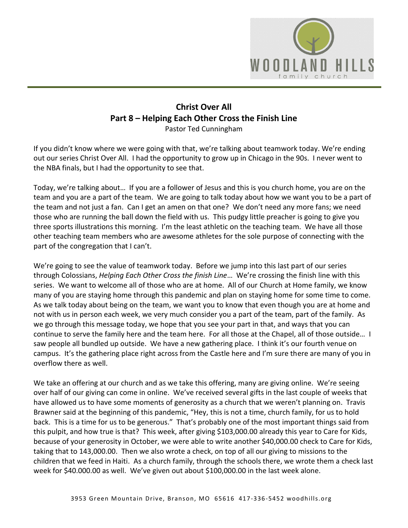

# **Christ Over All Part 8 – Helping Each Other Cross the Finish Line**  Pastor Ted Cunningham

If you didn't know where we were going with that, we're talking about teamwork today. We're ending out our series Christ Over All. I had the opportunity to grow up in Chicago in the 90s. I never went to the NBA finals, but I had the opportunity to see that.

Today, we're talking about… If you are a follower of Jesus and this is you church home, you are on the team and you are a part of the team. We are going to talk today about how we want you to be a part of the team and not just a fan. Can I get an amen on that one? We don't need any more fans; we need those who are running the ball down the field with us. This pudgy little preacher is going to give you three sports illustrations this morning. I'm the least athletic on the teaching team. We have all those other teaching team members who are awesome athletes for the sole purpose of connecting with the part of the congregation that I can't.

We're going to see the value of teamwork today. Before we jump into this last part of our series through Colossians, *Helping Each Other Cross the finish Line*… We're crossing the finish line with this series. We want to welcome all of those who are at home. All of our Church at Home family, we know many of you are staying home through this pandemic and plan on staying home for some time to come. As we talk today about being on the team, we want you to know that even though you are at home and not with us in person each week, we very much consider you a part of the team, part of the family. As we go through this message today, we hope that you see your part in that, and ways that you can continue to serve the family here and the team here. For all those at the Chapel, all of those outside… I saw people all bundled up outside. We have a new gathering place. I think it's our fourth venue on campus. It's the gathering place right across from the Castle here and I'm sure there are many of you in overflow there as well.

We take an offering at our church and as we take this offering, many are giving online. We're seeing over half of our giving can come in online. We've received several gifts in the last couple of weeks that have allowed us to have some moments of generosity as a church that we weren't planning on. Travis Brawner said at the beginning of this pandemic, "Hey, this is not a time, church family, for us to hold back. This is a time for us to be generous." That's probably one of the most important things said from this pulpit, and how true is that? This week, after giving \$103,000.00 already this year to Care for Kids, because of your generosity in October, we were able to write another \$40,000.00 check to Care for Kids, taking that to 143,000.00. Then we also wrote a check, on top of all our giving to missions to the children that we feed in Haiti. As a church family, through the schools there, we wrote them a check last week for \$40.000.00 as well. We've given out about \$100,000.00 in the last week alone.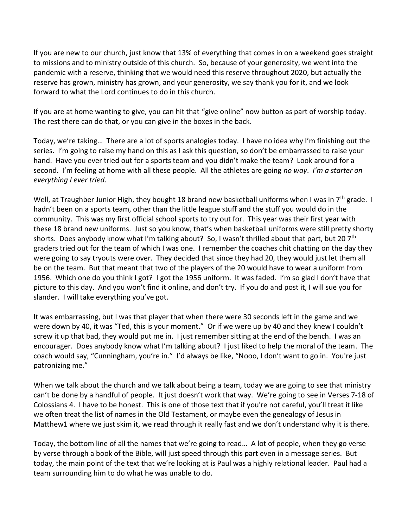If you are new to our church, just know that 13% of everything that comes in on a weekend goes straight to missions and to ministry outside of this church. So, because of your generosity, we went into the pandemic with a reserve, thinking that we would need this reserve throughout 2020, but actually the reserve has grown, ministry has grown, and your generosity, we say thank you for it, and we look forward to what the Lord continues to do in this church.

If you are at home wanting to give, you can hit that "give online" now button as part of worship today. The rest there can do that, or you can give in the boxes in the back.

Today, we're taking… There are a lot of sports analogies today. I have no idea why I'm finishing out the series. I'm going to raise my hand on this as I ask this question, so don't be embarrassed to raise your hand. Have you ever tried out for a sports team and you didn't make the team? Look around for a second. I'm feeling at home with all these people. All the athletes are going *no way*. *I'm a starter on everything I ever tried*.

Well, at Traughber Junior High, they bought 18 brand new basketball uniforms when I was in 7<sup>th</sup> grade. I hadn't been on a sports team, other than the little league stuff and the stuff you would do in the community. This was my first official school sports to try out for. This year was their first year with these 18 brand new uniforms. Just so you know, that's when basketball uniforms were still pretty shorty shorts. Does anybody know what I'm talking about? So, I wasn't thrilled about that part, but 20 7<sup>th</sup> graders tried out for the team of which I was one. I remember the coaches chit chatting on the day they were going to say tryouts were over. They decided that since they had 20, they would just let them all be on the team. But that meant that two of the players of the 20 would have to wear a uniform from 1956. Which one do you think I got? I got the 1956 uniform. It was faded. I'm so glad I don't have that picture to this day. And you won't find it online, and don't try. If you do and post it, I will sue you for slander. I will take everything you've got.

It was embarrassing, but I was that player that when there were 30 seconds left in the game and we were down by 40, it was "Ted, this is your moment." Or if we were up by 40 and they knew I couldn't screw it up that bad, they would put me in. I just remember sitting at the end of the bench. I was an encourager. Does anybody know what I'm talking about? I just liked to help the moral of the team. The coach would say, "Cunningham, you're in." I'd always be like, "Nooo, I don't want to go in. You're just patronizing me."

When we talk about the church and we talk about being a team, today we are going to see that ministry can't be done by a handful of people. It just doesn't work that way. We're going to see in Verses 7-18 of Colossians 4. I have to be honest. This is one of those text that if you're not careful, you'll treat it like we often treat the list of names in the Old Testament, or maybe even the genealogy of Jesus in Matthew1 where we just skim it, we read through it really fast and we don't understand why it is there.

Today, the bottom line of all the names that we're going to read… A lot of people, when they go verse by verse through a book of the Bible, will just speed through this part even in a message series. But today, the main point of the text that we're looking at is Paul was a highly relational leader. Paul had a team surrounding him to do what he was unable to do.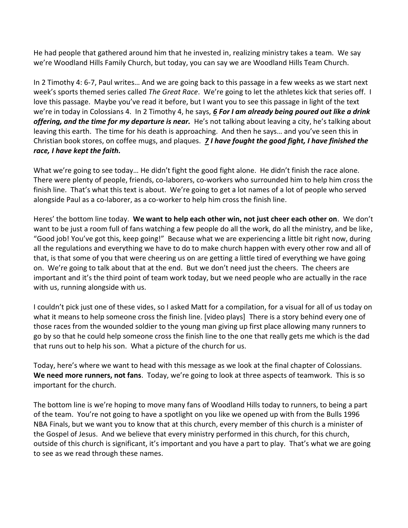He had people that gathered around him that he invested in, realizing ministry takes a team. We say we're Woodland Hills Family Church, but today, you can say we are Woodland Hills Team Church.

In 2 Timothy 4: 6-7, Paul writes… And we are going back to this passage in a few weeks as we start next week's sports themed series called *The Great Race*. We're going to let the athletes kick that series off. I love this passage. Maybe you've read it before, but I want you to see this passage in light of the text we're in today in Colossians 4. In 2 Timothy 4, he says, *[6](https://www.studylight.org/desk/?q=2ti%204:6&t1=en_niv&sr=1) For I am already being poured out like a drink offering, and the time for my departure is near.* He's not talking about leaving a city, he's talking about leaving this earth. The time for his death is approaching. And then he says… and you've seen this in Christian book stores, on coffee mugs, and plaques. *[7](https://www.studylight.org/desk/?q=2ti%204:7&t1=en_niv&sr=1) I have fought the good fight, I have finished the race, I have kept the faith.*

What we're going to see today… He didn't fight the good fight alone. He didn't finish the race alone. There were plenty of people, friends, co-laborers, co-workers who surrounded him to help him cross the finish line. That's what this text is about. We're going to get a lot names of a lot of people who served alongside Paul as a co-laborer, as a co-worker to help him cross the finish line.

Heres' the bottom line today. **We want to help each other win, not just cheer each other on**. We don't want to be just a room full of fans watching a few people do all the work, do all the ministry, and be like, "Good job! You've got this, keep going!" Because what we are experiencing a little bit right now, during all the regulations and everything we have to do to make church happen with every other row and all of that, is that some of you that were cheering us on are getting a little tired of everything we have going on. We're going to talk about that at the end. But we don't need just the cheers. The cheers are important and it's the third point of team work today, but we need people who are actually in the race with us, running alongside with us.

I couldn't pick just one of these vides, so I asked Matt for a compilation, for a visual for all of us today on what it means to help someone cross the finish line. [video plays] There is a story behind every one of those races from the wounded soldier to the young man giving up first place allowing many runners to go by so that he could help someone cross the finish line to the one that really gets me which is the dad that runs out to help his son. What a picture of the church for us.

Today, here's where we want to head with this message as we look at the final chapter of Colossians. **We need more runners, not fans**. Today, we're going to look at three aspects of teamwork. This is so important for the church.

The bottom line is we're hoping to move many fans of Woodland Hills today to runners, to being a part of the team. You're not going to have a spotlight on you like we opened up with from the Bulls 1996 NBA Finals, but we want you to know that at this church, every member of this church is a minister of the Gospel of Jesus. And we believe that every ministry performed in this church, for this church, outside of this church is significant, it's important and you have a part to play. That's what we are going to see as we read through these names.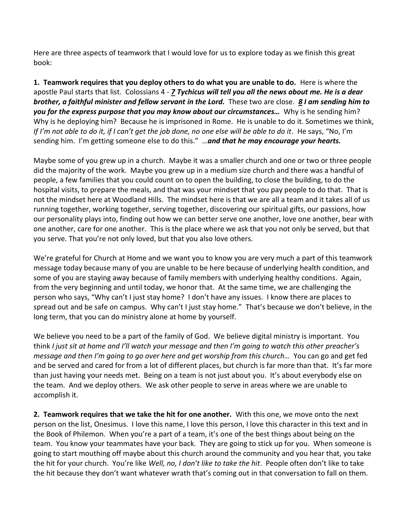Here are three aspects of teamwork that I would love for us to explore today as we finish this great book:

**1. Teamwork requires that you deploy others to do what you are unable to do.** Here is where the apostle Paul starts that list. Colossians 4 - *[7](https://www.studylight.org/desk/?q=col%204:7&t1=en_niv&sr=1) Tychicus will tell you all the news about me. He is a dear brother, a faithful minister and fellow servant in the Lord.* These two are close. *[8](https://www.studylight.org/desk/?q=col%204:8&t1=en_niv&sr=1) I am sending him to you for the express purpose that you may know about our circumstances…* Why is he sending him? Why is he deploying him? Because he is imprisoned in Rome. He is unable to do it. Sometimes we think, *If I'm not able to do it, if I can't get the job done, no one else will be able to do it*. He says, "No, I'm sending him. I'm getting someone else to do this." …*and that he may encourage your hearts.*

Maybe some of you grew up in a church. Maybe it was a smaller church and one or two or three people did the majority of the work. Maybe you grew up in a medium size church and there was a handful of people, a few families that you could count on to open the building, to close the building, to do the hospital visits, to prepare the meals, and that was your mindset that you pay people to do that. That is not the mindset here at Woodland Hills. The mindset here is that we are all a team and it takes all of us running together, working together, serving together, discovering our spiritual gifts, our passions, how our personality plays into, finding out how we can better serve one another, love one another, bear with one another, care for one another. This is the place where we ask that you not only be served, but that you serve. That you're not only loved, but that you also love others.

We're grateful for Church at Home and we want you to know you are very much a part of this teamwork message today because many of you are unable to be here because of underlying health condition, and some of you are staying away because of family members with underlying healthy conditions. Again, from the very beginning and until today, we honor that. At the same time, we are challenging the person who says, "Why can't I just stay home? I don't have any issues. I know there are places to spread out and be safe on campus. Why can't I just stay home." That's because we don't believe, in the long term, that you can do ministry alone at home by yourself.

We believe you need to be a part of the family of God. We believe digital ministry is important. You think *I just sit at home and I'll watch your message and then I'm going to watch this other preacher's message and then I'm going to go over here and get worship from this church…* You can go and get fed and be served and cared for from a lot of different places, but church is far more than that. It's far more than just having your needs met. Being on a team is not just about you. It's about everybody else on the team. And we deploy others. We ask other people to serve in areas where we are unable to accomplish it.

**2. Teamwork requires that we take the hit for one another.** With this one, we move onto the next person on the list, Onesimus. I love this name, I love this person, I love this character in this text and in the Book of Philemon. When you're a part of a team, it's one of the best things about being on the team. You know your teammates have your back. They are going to stick up for you. When someone is going to start mouthing off maybe about this church around the community and you hear that, you take the hit for your church. You're like *Well, no, I don't like to take the hit*. People often don't like to take the hit because they don't want whatever wrath that's coming out in that conversation to fall on them.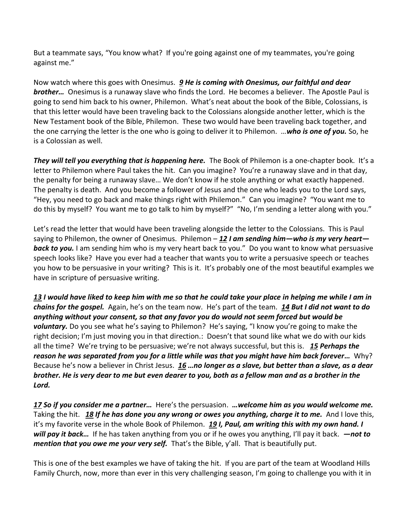But a teammate says, "You know what? If you're going against one of my teammates, you're going against me."

Now watch where this goes with Onesimus. *[9](https://www.studylight.org/desk/?q=col%204:9&t1=en_niv&sr=1) He is coming with Onesimus, our faithful and dear brother…* Onesimus is a runaway slave who finds the Lord. He becomes a believer. The Apostle Paul is going to send him back to his owner, Philemon. What's neat about the book of the Bible, Colossians, is that this letter would have been traveling back to the Colossians alongside another letter, which is the New Testament book of the Bible, Philemon. These two would have been traveling back together, and the one carrying the letter is the one who is going to deliver it to Philemon. …*who is one of you.* So, he is a Colossian as well.

*They will tell you everything that is happening here.* The Book of Philemon is a one-chapter book. It's a letter to Philemon where Paul takes the hit. Can you imagine? You're a runaway slave and in that day, the penalty for being a runaway slave… We don't know if he stole anything or what exactly happened. The penalty is death. And you become a follower of Jesus and the one who leads you to the Lord says, "Hey, you need to go back and make things right with Philemon." Can you imagine? "You want me to do this by myself? You want me to go talk to him by myself?" "No, I'm sending a letter along with you."

Let's read the letter that would have been traveling alongside the letter to the Colossians. This is Paul saying to Philemon, the owner of Onesimus. Philemon – *[12](https://www.studylight.org/desk/?q=phm%201:12&t1=en_niv&sr=1) I am sending him—who is my very heart* **back to you.** I am sending him who is my very heart back to you." Do you want to know what persuasive speech looks like? Have you ever had a teacher that wants you to write a persuasive speech or teaches you how to be persuasive in your writing? This is it. It's probably one of the most beautiful examples we have in scripture of persuasive writing.

*[13](https://www.studylight.org/desk/?q=phm%201:13&t1=en_niv&sr=1) I would have liked to keep him with me so that he could take your place in helping me while I am in chains for the gospel.* Again, he's on the team now. He's part of the team. *[14](https://www.studylight.org/desk/?q=phm%201:14&t1=en_niv&sr=1) But I did not want to do anything without your consent, so that any favor you do would not seem forced but would be voluntary.* Do you see what he's saying to Philemon? He's saying, "I know you're going to make the right decision; I'm just moving you in that direction.: Doesn't that sound like what we do with our kids all the time? We're trying to be persuasive; we're not always successful, but this is. *[15](https://www.studylight.org/desk/?q=phm%201:15&t1=en_niv&sr=1) Perhaps the reason he was separated from you for a little while was that you might have him back forever…* Why? Because he's now a believer in Christ Jesus. *[16](https://www.studylight.org/desk/?q=phm%201:16&t1=en_niv&sr=1) …no longer as a slave, but better than a slave, as a dear brother. He is very dear to me but even dearer to you, both as a fellow man and as a brother in the Lord.*

*[17](https://www.studylight.org/desk/?q=phm%201:17&t1=en_niv&sr=1) So if you consider me a partner…* Here's the persuasion. *…welcome him as you would welcome me.* Taking the hit. *[18](https://www.studylight.org/desk/?q=phm%201:18&t1=en_niv&sr=1) If he has done you any wrong or owes you anything, charge it to me.* And I love this, it's my favorite verse in the whole Book of Philemon. *[19](https://www.studylight.org/desk/?q=phm%201:19&t1=en_niv&sr=1) I, Paul, am writing this with my own hand. I will pay it back…* If he has taken anything from you or if he owes you anything, I'll pay it back. *—not to mention that you owe me your very self.* That's the Bible, y'all. That is beautifully put.

This is one of the best examples we have of taking the hit. If you are part of the team at Woodland Hills Family Church, now, more than ever in this very challenging season, I'm going to challenge you with it in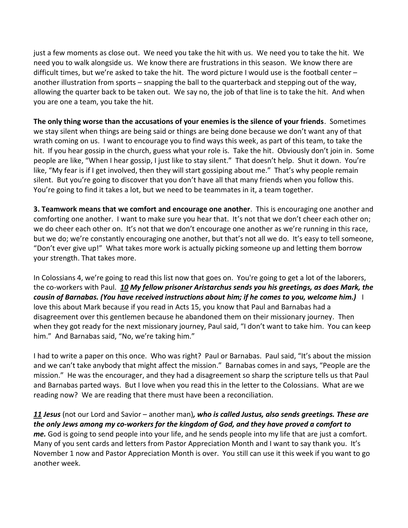just a few moments as close out. We need you take the hit with us. We need you to take the hit. We need you to walk alongside us. We know there are frustrations in this season. We know there are difficult times, but we're asked to take the hit. The word picture I would use is the football center – another illustration from sports – snapping the ball to the quarterback and stepping out of the way, allowing the quarter back to be taken out. We say no, the job of that line is to take the hit. And when you are one a team, you take the hit.

**The only thing worse than the accusations of your enemies is the silence of your friends**. Sometimes we stay silent when things are being said or things are being done because we don't want any of that wrath coming on us. I want to encourage you to find ways this week, as part of this team, to take the hit. If you hear gossip in the church, guess what your role is. Take the hit. Obviously don't join in. Some people are like, "When I hear gossip, I just like to stay silent." That doesn't help. Shut it down. You're like, "My fear is if I get involved, then they will start gossiping about me." That's why people remain silent. But you're going to discover that you don't have all that many friends when you follow this. You're going to find it takes a lot, but we need to be teammates in it, a team together.

**3. Teamwork means that we comfort and encourage one another**. This is encouraging one another and comforting one another. I want to make sure you hear that. It's not that we don't cheer each other on; we do cheer each other on. It's not that we don't encourage one another as we're running in this race, but we do; we're constantly encouraging one another, but that's not all we do. It's easy to tell someone, "Don't ever give up!" What takes more work is actually picking someone up and letting them borrow your strength. That takes more.

In Colossians 4, we're going to read this list now that goes on. You're going to get a lot of the laborers, the co-workers with Paul. *[10](https://www.studylight.org/desk/?q=col%204:10&t1=en_niv&sr=1) My fellow prisoner Aristarchus sends you his greetings, as does Mark, the cousin of Barnabas. (You have received instructions about him; if he comes to you, welcome him.)* I love this about Mark because if you read in Acts 15, you know that Paul and Barnabas had a disagreement over this gentlemen because he abandoned them on their missionary journey. Then when they got ready for the next missionary journey, Paul said, "I don't want to take him. You can keep him." And Barnabas said, "No, we're taking him."

I had to write a paper on this once. Who was right? Paul or Barnabas. Paul said, "It's about the mission and we can't take anybody that might affect the mission." Barnabas comes in and says, "People are the mission." He was the encourager, and they had a disagreement so sharp the scripture tells us that Paul and Barnabas parted ways. But I love when you read this in the letter to the Colossians. What are we reading now? We are reading that there must have been a reconciliation.

*[11](https://www.studylight.org/desk/?q=col%204:11&t1=en_niv&sr=1) Jesus* (not our Lord and Savior – another man)*, who is called Justus, also sends greetings. These are the only Jews among my co-workers for the kingdom of God, and they have proved a comfort to me.* God is going to send people into your life, and he sends people into my life that are just a comfort. Many of you sent cards and letters from Pastor Appreciation Month and I want to say thank you. It's November 1 now and Pastor Appreciation Month is over. You still can use it this week if you want to go another week.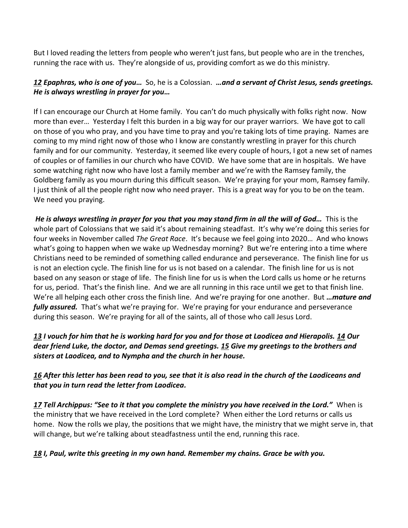But I loved reading the letters from people who weren't just fans, but people who are in the trenches, running the race with us. They're alongside of us, providing comfort as we do this ministry.

### *[12](https://www.studylight.org/desk/?q=col%204:12&t1=en_niv&sr=1) Epaphras, who is one of you…* So, he is a Colossian. *…and a servant of Christ Jesus, sends greetings. He is always wrestling in prayer for you…*

If I can encourage our Church at Home family. You can't do much physically with folks right now. Now more than ever… Yesterday I felt this burden in a big way for our prayer warriors. We have got to call on those of you who pray, and you have time to pray and you're taking lots of time praying. Names are coming to my mind right now of those who I know are constantly wrestling in prayer for this church family and for our community. Yesterday, it seemed like every couple of hours, I got a new set of names of couples or of families in our church who have COVID. We have some that are in hospitals. We have some watching right now who have lost a family member and we're with the Ramsey family, the Goldberg family as you mourn during this difficult season. We're praying for your mom, Ramsey family. I just think of all the people right now who need prayer. This is a great way for you to be on the team. We need you praying.

*He is always wrestling in prayer for you that you may stand firm in all the will of God…* This is the whole part of Colossians that we said it's about remaining steadfast. It's why we're doing this series for four weeks in November called *The Great Race*. It's because we feel going into 2020… And who knows what's going to happen when we wake up Wednesday morning? But we're entering into a time where Christians need to be reminded of something called endurance and perseverance. The finish line for us is not an election cycle. The finish line for us is not based on a calendar. The finish line for us is not based on any season or stage of life. The finish line for us is when the Lord calls us home or he returns for us, period. That's the finish line. And we are all running in this race until we get to that finish line. We're all helping each other cross the finish line. And we're praying for one another. But *…mature and fully assured.*That's what we're praying for. We're praying for your endurance and perseverance during this season. We're praying for all of the saints, all of those who call Jesus Lord.

### *[13](https://www.studylight.org/desk/?q=col%204:13&t1=en_niv&sr=1) I vouch for him that he is working hard for you and for those at Laodicea and Hierapolis. [14](https://www.studylight.org/desk/?q=col%204:14&t1=en_niv&sr=1) Our dear friend Luke, the doctor, and Demas send greetings. [15](https://www.studylight.org/desk/?q=col%204:15&t1=en_niv&sr=1) Give my greetings to the brothers and sisters at Laodicea, and to Nympha and the church in her house.*

### *[16](https://www.studylight.org/desk/?q=col%204:16&t1=en_niv&sr=1) After this letter has been read to you, see that it is also read in the church of the Laodiceans and that you in turn read the letter from Laodicea.*

*[17](https://www.studylight.org/desk/?q=col%204:17&t1=en_niv&sr=1) Tell Archippus: "See to it that you complete the ministry you have received in the Lord."* When is the ministry that we have received in the Lord complete? When either the Lord returns or calls us home. Now the rolls we play, the positions that we might have, the ministry that we might serve in, that will change, but we're talking about steadfastness until the end, running this race.

# *[18](https://www.studylight.org/desk/?q=col%204:18&t1=en_niv&sr=1) I, Paul, write this greeting in my own hand. Remember my chains. Grace be with you.*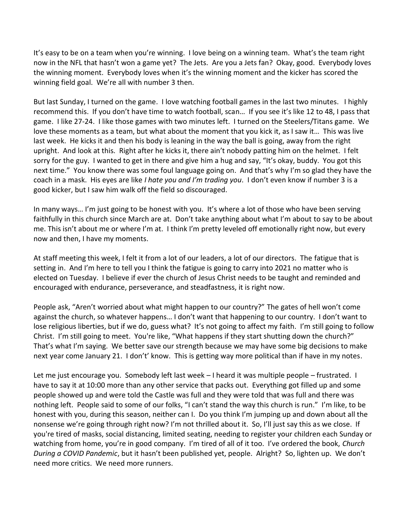It's easy to be on a team when you're winning. I love being on a winning team. What's the team right now in the NFL that hasn't won a game yet? The Jets. Are you a Jets fan? Okay, good. Everybody loves the winning moment. Everybody loves when it's the winning moment and the kicker has scored the winning field goal. We're all with number 3 then.

But last Sunday, I turned on the game. I love watching football games in the last two minutes. I highly recommend this. If you don't have time to watch football, scan… If you see it's like 12 to 48, I pass that game. I like 27-24. I like those games with two minutes left. I turned on the Steelers/Titans game. We love these moments as a team, but what about the moment that you kick it, as I saw it… This was live last week. He kicks it and then his body is leaning in the way the ball is going, away from the right upright. And look at this. Right after he kicks it, there ain't nobody patting him on the helmet. I felt sorry for the guy. I wanted to get in there and give him a hug and say, "It's okay, buddy. You got this next time." You know there was some foul language going on. And that's why I'm so glad they have the coach in a mask. His eyes are like *I hate you and I'm trading you*. I don't even know if number 3 is a good kicker, but I saw him walk off the field so discouraged.

In many ways… I'm just going to be honest with you. It's where a lot of those who have been serving faithfully in this church since March are at. Don't take anything about what I'm about to say to be about me. This isn't about me or where I'm at. I think I'm pretty leveled off emotionally right now, but every now and then, I have my moments.

At staff meeting this week, I felt it from a lot of our leaders, a lot of our directors. The fatigue that is setting in. And I'm here to tell you I think the fatigue is going to carry into 2021 no matter who is elected on Tuesday. I believe if ever the church of Jesus Christ needs to be taught and reminded and encouraged with endurance, perseverance, and steadfastness, it is right now.

People ask, "Aren't worried about what might happen to our country?" The gates of hell won't come against the church, so whatever happens… I don't want that happening to our country. I don't want to lose religious liberties, but if we do, guess what? It's not going to affect my faith. I'm still going to follow Christ. I'm still going to meet. You're like, "What happens if they start shutting down the church?" That's what I'm saying. We better save our strength because we may have some big decisions to make next year come January 21. I don't' know. This is getting way more political than if have in my notes.

Let me just encourage you. Somebody left last week - I heard it was multiple people - frustrated. I have to say it at 10:00 more than any other service that packs out. Everything got filled up and some people showed up and were told the Castle was full and they were told that was full and there was nothing left. People said to some of our folks, "I can't stand the way this church is run." I'm like, to be honest with you, during this season, neither can I. Do you think I'm jumping up and down about all the nonsense we're going through right now? I'm not thrilled about it. So, I'll just say this as we close. If you're tired of masks, social distancing, limited seating, needing to register your children each Sunday or watching from home, you're in good company. I'm tired of all of it too. I've ordered the book, *Church During a COVID Pandemic*, but it hasn't been published yet, people. Alright? So, lighten up. We don't need more critics. We need more runners.